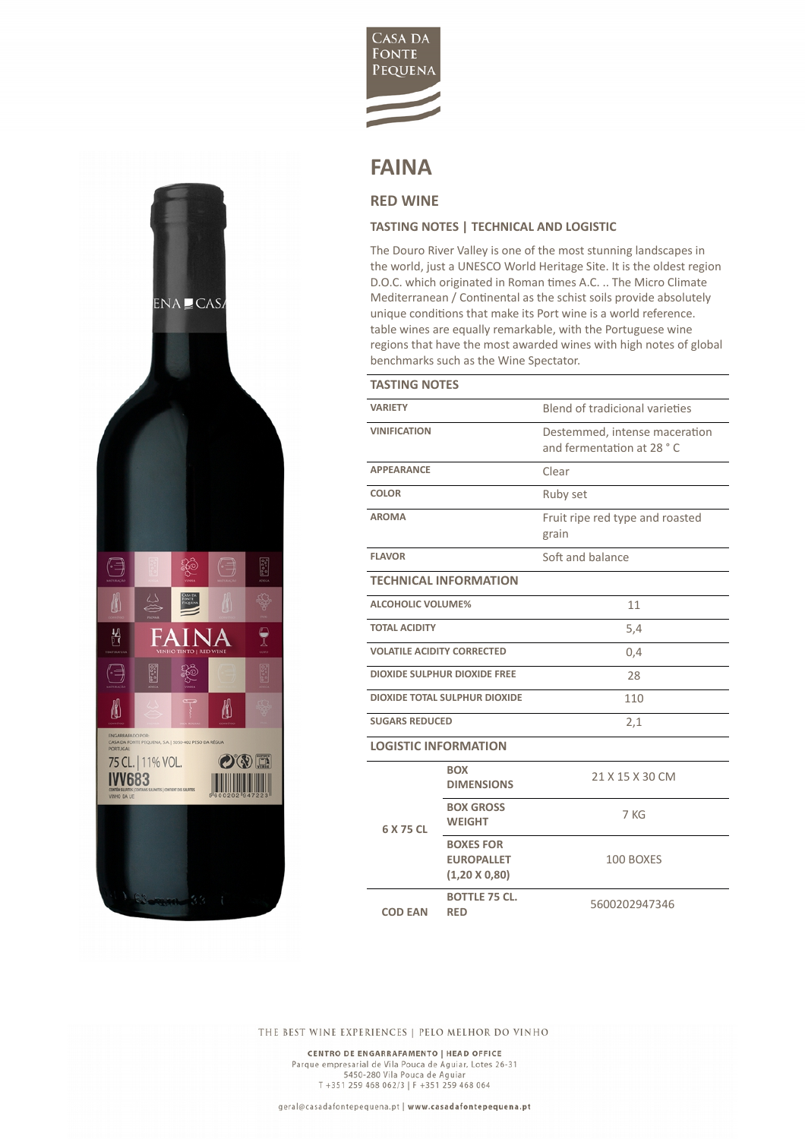

## **FAINA**

## **RED WINE**

ENA CAS

ဆို့

**CANADA** 

**FAINA** 

 $\mathbb{R}^{\mathsf{a}}$ 

₩

 $O$  ( $\sqrt{D}$  )

**The Common** 

3000

75 CL. | 11% VOL. **IVV683** 

⋐

Ö

H

€

≬

ENGARRAE<br>CASA DA F

 $\begin{smallmatrix} 0&0&0&0\\ 0&0&0&0\\ 0&0&0&0 \end{smallmatrix}$ 

ę

## **TASTING NOTES | TECHNICAL AND LOGISTIC**

The Douro River Valley is one of the most stunning landscapes in the world, just a UNESCO World Heritage Site. It is the oldest region D.O.C. which originated in Roman times A.C. .. The Micro Climate Mediterranean / Continental as the schist soils provide absolutely unique conditions that make its Port wine is a world reference. table wines are equally remarkable, with the Portuguese wine regions that have the most awarded wines with high notes of global benchmarks such as the Wine Spectator.

| <b>TASTING NOTES</b>                 |                                                               |                                                            |
|--------------------------------------|---------------------------------------------------------------|------------------------------------------------------------|
| <b>VARIETY</b>                       |                                                               | Blend of tradicional varieties                             |
| <b>VINIFICATION</b>                  |                                                               | Destemmed, intense maceration<br>and fermentation at 28 °C |
| <b>APPEARANCE</b>                    |                                                               | Clear                                                      |
| <b>COLOR</b>                         |                                                               | Ruby set                                                   |
| <b>AROMA</b>                         |                                                               | Fruit ripe red type and roasted<br>grain                   |
| <b>FLAVOR</b>                        |                                                               | Soft and balance                                           |
| <b>TECHNICAL INFORMATION</b>         |                                                               |                                                            |
| <b>ALCOHOLIC VOLUME%</b>             |                                                               | 11                                                         |
| <b>TOTAL ACIDITY</b>                 |                                                               | 5,4                                                        |
| <b>VOLATILE ACIDITY CORRECTED</b>    |                                                               | 0,4                                                        |
| <b>DIOXIDE SULPHUR DIOXIDE FREE</b>  |                                                               | 28                                                         |
| <b>DIOXIDE TOTAL SULPHUR DIOXIDE</b> |                                                               | 110                                                        |
| <b>SUGARS REDUCED</b>                |                                                               | 2,1                                                        |
| <b>LOGISTIC INFORMATION</b>          |                                                               |                                                            |
| 6 X 75 CL                            | <b>BOX</b><br><b>DIMENSIONS</b>                               | 21 X 15 X 30 CM                                            |
|                                      | <b>BOX GROSS</b><br><b>WEIGHT</b>                             | 7 KG                                                       |
|                                      | <b>BOXES FOR</b><br><b>EUROPALLET</b><br>$(1,20 \times 0,80)$ | 100 BOXES                                                  |
| <b>COD EAN</b>                       | <b>BOTTLE 75 CL.</b><br><b>RED</b>                            | 5600202947346                                              |

THE BEST WINE EXPERIENCES | PELO MELHOR DO VINHO

CENTRO DE ENGARRAFAMENTO | HEAD OFFICE Parque empresarial de Vila Pouca de Aguiar, Lotes 26-31<br>5450-280 Vila Pouca de Aguiar<br>T +351 259 468 062/3 | F +351 259 468 064